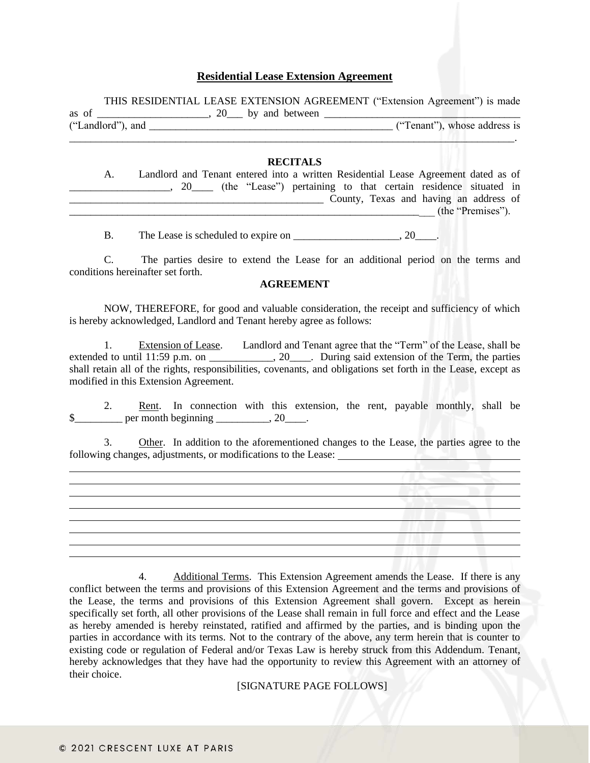## **Residential Lease Extension Agreement**

THIS RESIDENTIAL LEASE EXTENSION AGREEMENT ("Extension Agreement") is made as of  $\frac{1}{(2\text{t} + \text{t} + \text{t} + \text{t} + \text{t} + \text{t} + \text{t} + \text{t} + \text{t} + \text{t} + \text{t} + \text{t} + \text{t} + \text{t} + \text{t} + \text{t} + \text{t} + \text{t} + \text{t} + \text{t} + \text{t} + \text{t} + \text{t} + \text{t} + \text{t} + \text{t} + \text{t} + \text{t} + \text{t} + \text{t} + \text{t} + \text{t} + \text{t} + \text{t} + \text{$ **The Conduct of Conduct Conduct Conduct Conduct Conduct Conduct Conduct Conduct Conduct Conduct Conduct Conduct** Conduct Conduct Conduct Conduct Conduct Conduct Conduct Conduct Conduct Conduct Conduct Conduct Conduct Condu

## **RECITALS**

\_\_\_\_\_\_\_\_\_\_\_\_\_\_\_\_\_\_\_\_\_\_\_\_\_\_\_\_\_\_\_\_\_\_\_\_\_\_\_\_\_\_\_\_\_\_\_\_\_\_\_\_\_\_\_\_\_\_\_\_\_\_\_\_\_\_\_\_\_\_\_\_\_\_\_\_\_\_\_\_\_\_\_\_.

| А. |                      |  |  |  | Landlord and Tenant entered into a written Residential Lease Agreement dated as of |                   |  |
|----|----------------------|--|--|--|------------------------------------------------------------------------------------|-------------------|--|
|    | $20$ <sub>____</sub> |  |  |  | (the "Lease") pertaining to that certain residence situated in                     |                   |  |
|    |                      |  |  |  | County, Texas and having an address of                                             |                   |  |
|    |                      |  |  |  |                                                                                    | (the "Premises"). |  |
|    |                      |  |  |  |                                                                                    |                   |  |

B. The Lease is scheduled to expire on  $\qquad \qquad$  . 20

C. The parties desire to extend the Lease for an additional period on the terms and conditions hereinafter set forth.

## **AGREEMENT**

NOW, THEREFORE, for good and valuable consideration, the receipt and sufficiency of which is hereby acknowledged, Landlord and Tenant hereby agree as follows:

1. Extension of Lease. Landlord and Tenant agree that the "Term" of the Lease, shall be extended to until 11:59 p.m. on \_\_\_\_\_\_\_\_\_\_, 20\_\_\_\_. During said extension of the Term, the parties shall retain all of the rights, responsibilities, covenants, and obligations set forth in the Lease, except as modified in this Extension Agreement.

2. Rent. In connection with this extension, the rent, payable monthly, shall be  $\frac{\$}{\$}$  per month beginning  $\frac{1}{\$}$ , 20\_\_\_\_.

Other. In addition to the aforementioned changes to the Lease, the parties agree to the following changes, adjustments, or modifications to the Lease:

4. Additional Terms. This Extension Agreement amends the Lease. If there is any conflict between the terms and provisions of this Extension Agreement and the terms and provisions of the Lease, the terms and provisions of this Extension Agreement shall govern. Except as herein specifically set forth, all other provisions of the Lease shall remain in full force and effect and the Lease as hereby amended is hereby reinstated, ratified and affirmed by the parties, and is binding upon the parties in accordance with its terms. Not to the contrary of the above, any term herein that is counter to existing code or regulation of Federal and/or Texas Law is hereby struck from this Addendum. Tenant, hereby acknowledges that they have had the opportunity to review this Agreement with an attorney of their choice.

[SIGNATURE PAGE FOLLOWS]